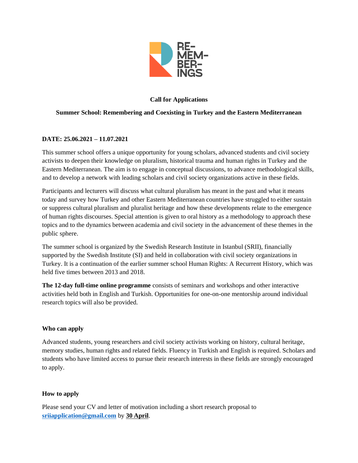

# **Call for Applications**

## **Summer School: Remembering and Coexisting in Turkey and the Eastern Mediterranean**

## **DATE: 25.06.2021 – 11.07.2021**

This summer school offers a unique opportunity for young scholars, advanced students and civil society activists to deepen their knowledge on pluralism, historical trauma and human rights in Turkey and the Eastern Mediterranean. The aim is to engage in conceptual discussions, to advance methodological skills, and to develop a network with leading scholars and civil society organizations active in these fields.

Participants and lecturers will discuss what cultural pluralism has meant in the past and what it means today and survey how Turkey and other Eastern Mediterranean countries have struggled to either sustain or suppress cultural pluralism and pluralist heritage and how these developments relate to the emergence of human rights discourses. Special attention is given to oral history as a methodology to approach these topics and to the dynamics between academia and civil society in the advancement of these themes in the public sphere.

The summer school is organized by the Swedish Research Institute in Istanbul (SRII), financially supported by the Swedish Institute (SI) and held in collaboration with civil society organizations in Turkey. It is a continuation of the earlier summer school Human Rights: A Recurrent History, which was held five times between 2013 and 2018.

**The 12-day full-time online programme** consists of seminars and workshops and other interactive activities held both in English and Turkish. Opportunities for one-on-one mentorship around individual research topics will also be provided.

### **Who can apply**

Advanced students, young researchers and civil society activists working on history, cultural heritage, memory studies, human rights and related fields. Fluency in Turkish and English is required. Scholars and students who have limited access to pursue their research interests in these fields are strongly encouraged to apply.

## **How to apply**

Please send your CV and letter of motivation including a short research proposal to **[sriiapplication@gmail.com](mailto:sriiapplication@gmail.com)** by **30 April**.